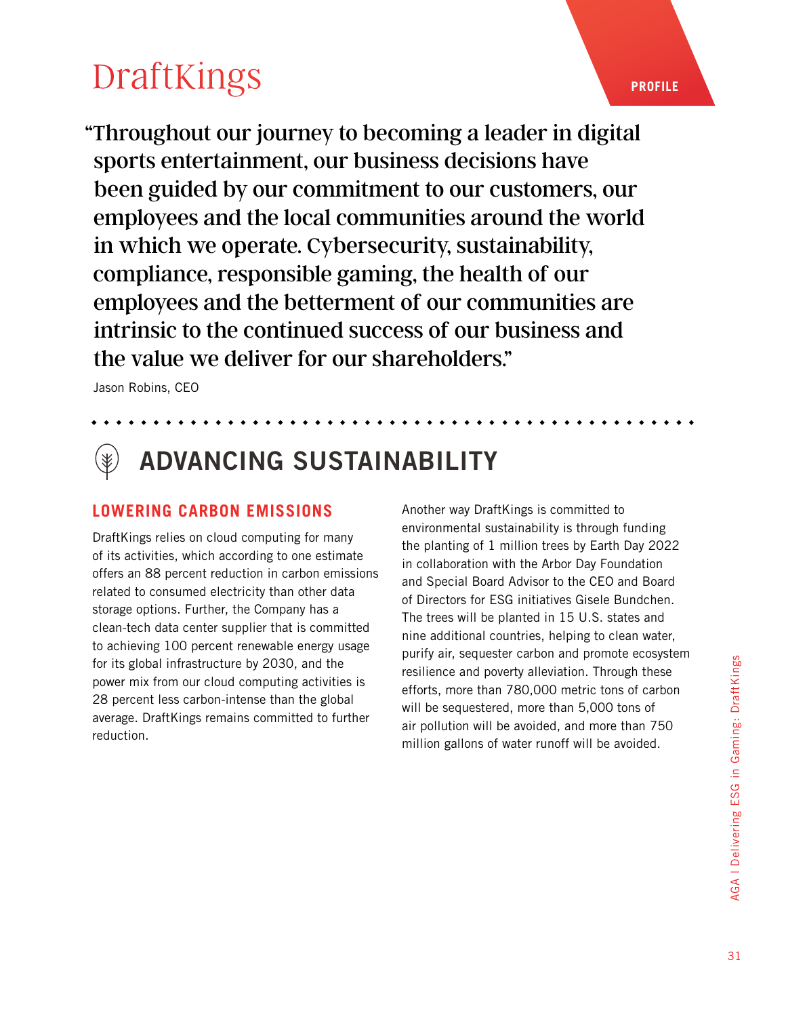"Throughout our journey to becoming a leader in digital sports entertainment, our business decisions have been guided by our commitment to our customers, our employees and the local communities around the world in which we operate. Cybersecurity, sustainability, compliance, responsible gaming, the health of our employees and the betterment of our communities are intrinsic to the continued success of our business and the value we deliver for our shareholders."

Jason Robins, CEO

## ADVANCING SUSTAINABILITY

#### **LOWERING CARBON EMISSIONS**

DraftKings relies on cloud computing for many of its activities, which according to one estimate offers an 88 percent reduction in carbon emissions related to consumed electricity than other data storage options. Further, the Company has a clean-tech data center supplier that is committed to achieving 100 percent renewable energy usage for its global infrastructure by 2030, and the power mix from our cloud computing activities is 28 percent less carbon-intense than the global average. DraftKings remains committed to further reduction.

Another way DraftKings is committed to environmental sustainability is through funding the planting of 1 million trees by Earth Day 2022 in collaboration with the Arbor Day Foundation and Special Board Advisor to the CEO and Board of Directors for ESG initiatives Gisele Bundchen. The trees will be planted in 15 U.S. states and nine additional countries, helping to clean water, purify air, sequester carbon and promote ecosystem resilience and poverty alleviation. Through these efforts, more than 780,000 metric tons of carbon will be sequestered, more than 5,000 tons of air pollution will be avoided, and more than 750 million gallons of water runoff will be avoided.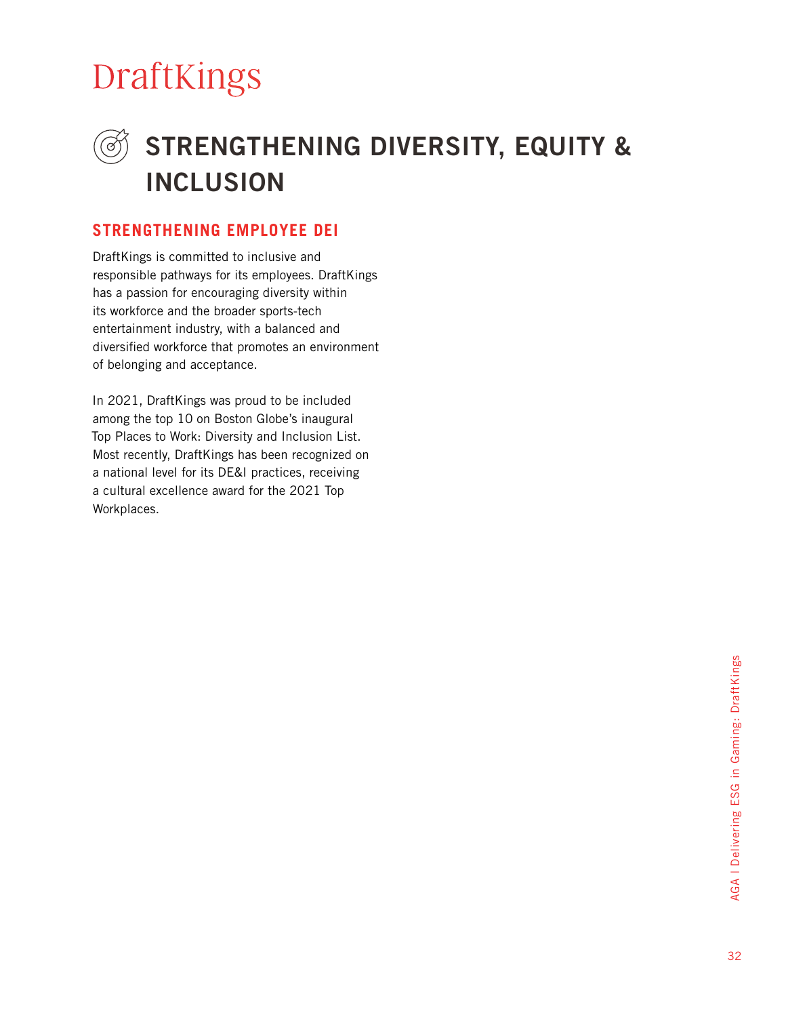### STRENGTHENING DIVERSITY, EQUITY & INCLUSION

#### **STRENGTHENING EMPLOYEE DEI**

DraftKings is committed to inclusive and responsible pathways for its employees. DraftKings has a passion for encouraging diversity within its workforce and the broader sports-tech entertainment industry, with a balanced and diversified workforce that promotes an environment of belonging and acceptance.

In 2021, DraftKings was proud to be included among the top 10 on Boston Globe's inaugural Top Places to Work: Diversity and Inclusion List. Most recently, DraftKings has been recognized on a national level for its DE&I practices, receiving a cultural excellence award for the 2021 Top Workplaces.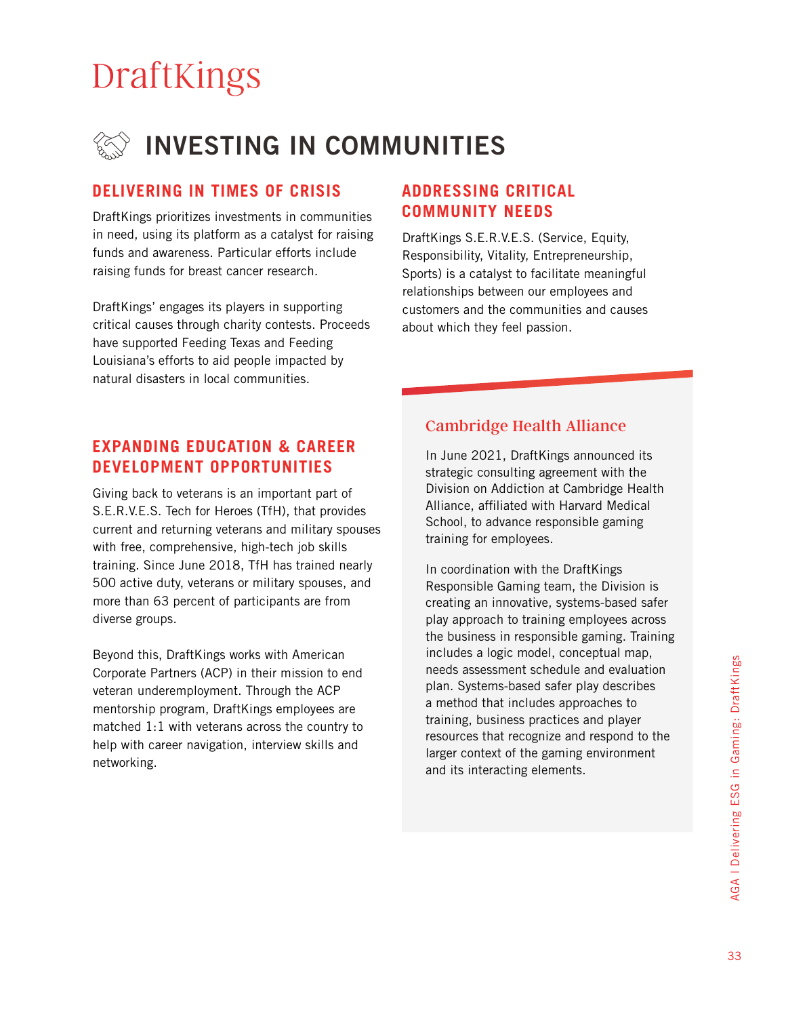

#### **DELIVERING IN TIMES OF CRISIS ADDRESSING CRITICAL**

DraftKings prioritizes investments in communities in need, using its platform as a catalyst for raising funds and awareness. Particular efforts include raising funds for breast cancer research.

DraftKings' engages its players in supporting critical causes through charity contests. Proceeds have supported Feeding Texas and Feeding Louisiana's efforts to aid people impacted by natural disasters in local communities.

## **COMMUNITY NEEDS**

DraftKings S.E.R.V.E.S. (Service, Equity, Responsibility, Vitality, Entrepreneurship, Sports) is a catalyst to facilitate meaningful relationships between our employees and customers and the communities and causes about which they feel passion.

#### **EXPANDING EDUCATION & CAREER DEVELOPMENT OPPORTUNITIES**

Giving back to veterans is an important part of S.E.R.V.E.S. Tech for Heroes (TfH), that provides current and returning veterans and military spouses with free, comprehensive, high-tech job skills training. Since June 2018, TfH has trained nearly 500 active duty, veterans or military spouses, and more than 63 percent of participants are from diverse groups.

Beyond this, DraftKings works with American Corporate Partners (ACP) in their mission to end veteran underemployment. Through the ACP mentorship program, DraftKings employees are matched 1:1 with veterans across the country to help with career navigation, interview skills and networking.

#### Cambridge Health Alliance

In June 2021, DraftKings announced its strategic consulting agreement with the Division on Addiction at Cambridge Health Alliance, affiliated with Harvard Medical School, to advance responsible gaming training for employees.

In coordination with the DraftKings Responsible Gaming team, the Division is creating an innovative, systems-based safer play approach to training employees across the business in responsible gaming. Training includes a logic model, conceptual map, needs assessment schedule and evaluation plan. Systems-based safer play describes a method that includes approaches to training, business practices and player resources that recognize and respond to the larger context of the gaming environment and its interacting elements.